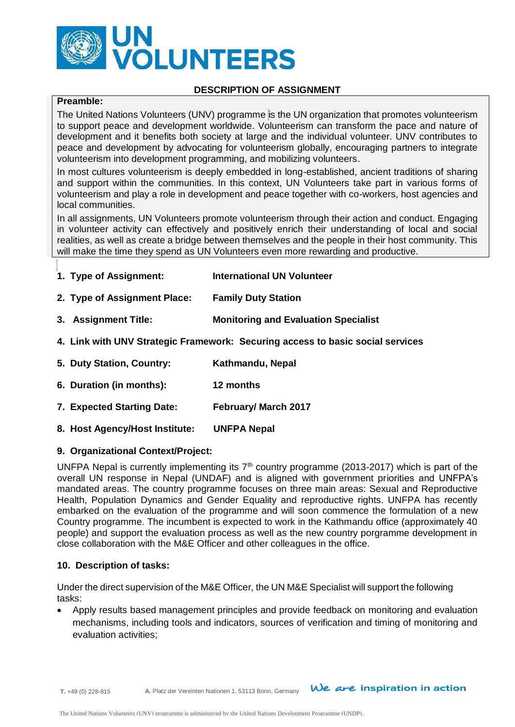

#### **DESCRIPTION OF ASSIGNMENT**

# **Preamble:**

The United Nations Volunteers (UNV) programme is the UN organization that promotes volunteerism to support peace and development worldwide. Volunteerism can transform the pace and nature of development and it benefits both society at large and the individual volunteer. UNV contributes to peace and development by advocating for volunteerism globally, encouraging partners to integrate volunteerism into development programming, and mobilizing volunteers.

In most cultures volunteerism is deeply embedded in long-established, ancient traditions of sharing and support within the communities. In this context, UN Volunteers take part in various forms of volunteerism and play a role in development and peace together with co-workers, host agencies and local communities.

In all assignments, UN Volunteers promote volunteerism through their action and conduct. Engaging in volunteer activity can effectively and positively enrich their understanding of local and social realities, as well as create a bridge between themselves and the people in their host community. This will make the time they spend as UN Volunteers even more rewarding and productive.

- **1. Type of Assignment: International UN Volunteer**
- **2. Type of Assignment Place: Family Duty Station**
- **3. Assignment Title: Monitoring and Evaluation Specialist**
- **4. Link with UNV Strategic Framework: Securing access to basic social services**
- **5. Duty Station, Country: Kathmandu, Nepal**
- **6. Duration (in months): 12 months**
- **7. Expected Starting Date: February/ March 2017**
- **8. Host Agency/Host Institute: UNFPA Nepal**

#### **9. Organizational Context/Project:**

UNFPA Nepal is currently implementing its  $7<sup>th</sup>$  country programme (2013-2017) which is part of the overall UN response in Nepal (UNDAF) and is aligned with government priorities and UNFPA's mandated areas. The country programme focuses on three main areas: Sexual and Reproductive Health, Population Dynamics and Gender Equality and reproductive rights. UNFPA has recently embarked on the evaluation of the programme and will soon commence the formulation of a new Country programme. The incumbent is expected to work in the Kathmandu office (approximately 40 people) and support the evaluation process as well as the new country porgramme development in close collaboration with the M&E Officer and other colleagues in the office.

#### **10. Description of tasks:**

Under the direct supervision of the M&E Officer*,* the UN M&E Specialist will support the following tasks:

 Apply results based management principles and provide feedback on monitoring and evaluation mechanisms, including tools and indicators, sources of verification and timing of monitoring and evaluation activities;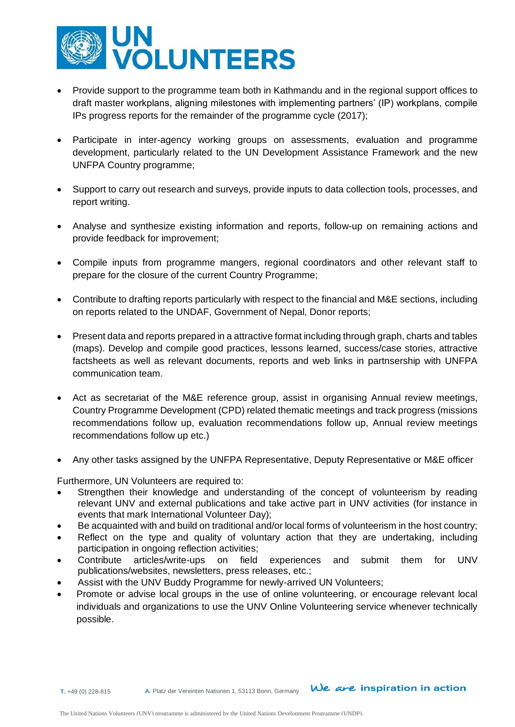

- Provide support to the programme team both in Kathmandu and in the regional support offices to draft master workplans, aligning milestones with implementing partners' (IP) workplans, compile IPs progress reports for the remainder of the programme cycle (2017);
- Participate in inter-agency working groups on assessments, evaluation and programme development, particularly related to the UN Development Assistance Framework and the new UNFPA Country programme;
- Support to carry out research and surveys, provide inputs to data collection tools, processes, and report writing.
- Analyse and synthesize existing information and reports, follow-up on remaining actions and provide feedback for improvement;
- Compile inputs from programme mangers, regional coordinators and other relevant staff to prepare for the closure of the current Country Programme;
- Contribute to drafting reports particularly with respect to the financial and M&E sections, including on reports related to the UNDAF, Government of Nepal, Donor reports;
- Present data and reports prepared in a attractive format including through graph, charts and tables (maps). Develop and compile good practices, lessons learned, success/case stories, attractive factsheets as well as relevant documents, reports and web links in partnsership with UNFPA communication team.
- Act as secretariat of the M&E reference group, assist in organising Annual review meetings, Country Programme Development (CPD) related thematic meetings and track progress (missions recommendations follow up, evaluation recommendations follow up, Annual review meetings recommendations follow up etc.)
- Any other tasks assigned by the UNFPA Representative, Deputy Representative or M&E officer

Furthermore, UN Volunteers are required to:

- Strengthen their knowledge and understanding of the concept of volunteerism by reading relevant UNV and external publications and take active part in UNV activities (for instance in events that mark International Volunteer Day);
- Be acquainted with and build on traditional and/or local forms of volunteerism in the host country;
- Reflect on the type and quality of voluntary action that they are undertaking, including participation in ongoing reflection activities;
- Contribute articles/write-ups on field experiences and submit them for UNV publications/websites, newsletters, press releases, etc.;
- Assist with the UNV Buddy Programme for newly-arrived UN Volunteers;
- Promote or advise local groups in the use of online volunteering, or encourage relevant local individuals and organizations to use the UNV Online Volunteering service whenever technically possible.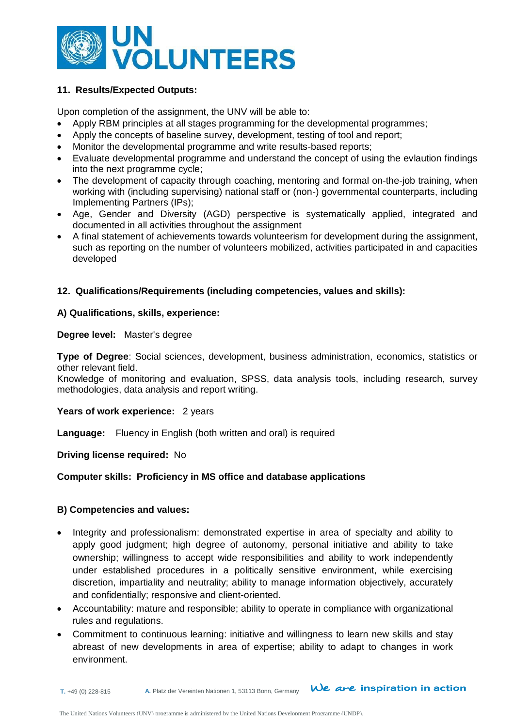

# **11. Results/Expected Outputs:**

Upon completion of the assignment, the UNV will be able to:

- Apply RBM principles at all stages programming for the developmental programmes;
- Apply the concepts of baseline survey, development, testing of tool and report;
- Monitor the developmental programme and write results-based reports;
- Evaluate developmental programme and understand the concept of using the evlaution findings into the next programme cycle;
- The development of capacity through coaching, mentoring and formal on-the-job training, when working with (including supervising) national staff or (non-) governmental counterparts, including Implementing Partners (IPs);
- Age, Gender and Diversity (AGD) perspective is systematically applied, integrated and documented in all activities throughout the assignment
- A final statement of achievements towards volunteerism for development during the assignment, such as reporting on the number of volunteers mobilized, activities participated in and capacities developed

#### **12. Qualifications/Requirements (including competencies, values and skills):**

#### **A) Qualifications, skills, experience:**

#### **Degree level:** Master's degree

**Type of Degree**: Social sciences, development, business administration, economics, statistics or other relevant field.

Knowledge of monitoring and evaluation, SPSS, data analysis tools, including research, survey methodologies, data analysis and report writing.

# Years of work experience: 2 years

**Language:** Fluency in English (both written and oral) is required

#### **Driving license required:** No

# **Computer skills: Proficiency in MS office and database applications**

### **B) Competencies and values:**

- Integrity and professionalism: demonstrated expertise in area of specialty and ability to apply good judgment; high degree of autonomy, personal initiative and ability to take ownership; willingness to accept wide responsibilities and ability to work independently under established procedures in a politically sensitive environment, while exercising discretion, impartiality and neutrality; ability to manage information objectively, accurately and confidentially; responsive and client-oriented.
- Accountability: mature and responsible; ability to operate in compliance with organizational rules and regulations.
- Commitment to continuous learning: initiative and willingness to learn new skills and stay abreast of new developments in area of expertise; ability to adapt to changes in work environment.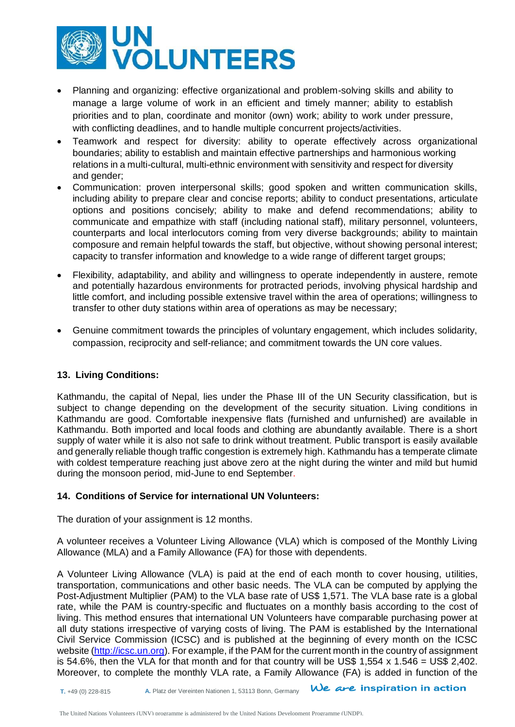

- Planning and organizing: effective organizational and problem-solving skills and ability to manage a large volume of work in an efficient and timely manner; ability to establish priorities and to plan, coordinate and monitor (own) work; ability to work under pressure, with conflicting deadlines, and to handle multiple concurrent projects/activities.
- Teamwork and respect for diversity: ability to operate effectively across organizational boundaries; ability to establish and maintain effective partnerships and harmonious working relations in a multi-cultural, multi-ethnic environment with sensitivity and respect for diversity and gender;
- Communication: proven interpersonal skills; good spoken and written communication skills, including ability to prepare clear and concise reports; ability to conduct presentations, articulate options and positions concisely; ability to make and defend recommendations; ability to communicate and empathize with staff (including national staff), military personnel, volunteers, counterparts and local interlocutors coming from very diverse backgrounds; ability to maintain composure and remain helpful towards the staff, but objective, without showing personal interest; capacity to transfer information and knowledge to a wide range of different target groups;
- Flexibility, adaptability, and ability and willingness to operate independently in austere, remote and potentially hazardous environments for protracted periods, involving physical hardship and little comfort, and including possible extensive travel within the area of operations; willingness to transfer to other duty stations within area of operations as may be necessary;
- Genuine commitment towards the principles of voluntary engagement, which includes solidarity, compassion, reciprocity and self-reliance; and commitment towards the UN core values.

# **13. Living Conditions:**

Kathmandu, the capital of Nepal, lies under the Phase III of the UN Security classification, but is subject to change depending on the development of the security situation. Living conditions in Kathmandu are good. Comfortable inexpensive flats (furnished and unfurnished) are available in Kathmandu. Both imported and local foods and clothing are abundantly available. There is a short supply of water while it is also not safe to drink without treatment. Public transport is easily available and generally reliable though traffic congestion is extremely high. Kathmandu has a temperate climate with coldest temperature reaching just above zero at the night during the winter and mild but humid during the monsoon period, mid-June to end September.

### **14. Conditions of Service for international UN Volunteers:**

The duration of your assignment is 12 months.

A volunteer receives a Volunteer Living Allowance (VLA) which is composed of the Monthly Living Allowance (MLA) and a Family Allowance (FA) for those with dependents.

A Volunteer Living Allowance (VLA) is paid at the end of each month to cover housing, utilities, transportation, communications and other basic needs. The VLA can be computed by applying the Post-Adjustment Multiplier (PAM) to the VLA base rate of US\$ 1,571. The VLA base rate is a global rate, while the PAM is country-specific and fluctuates on a monthly basis according to the cost of living. This method ensures that international UN Volunteers have comparable purchasing power at all duty stations irrespective of varying costs of living. The PAM is established by the International Civil Service Commission (ICSC) and is published at the beginning of every month on the ICSC website [\(http://icsc.un.org\)](http://icsc.un.org/). For example, if the PAM for the current month in the country of assignment is 54.6%, then the VLA for that month and for that country will be US\$ 1,554  $\times$  1.546 = US\$ 2,402. Moreover, to complete the monthly VLA rate, a Family Allowance (FA) is added in function of the

A. Platz der Vereinten Nationen 1, 53113 Bonn, Germany **We are inspiration in action**